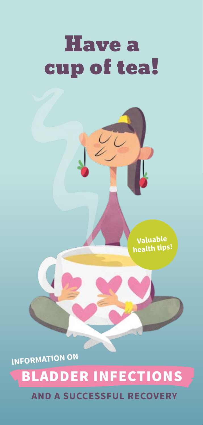# **Have a** cup of tea!

**Valuable health tips!**

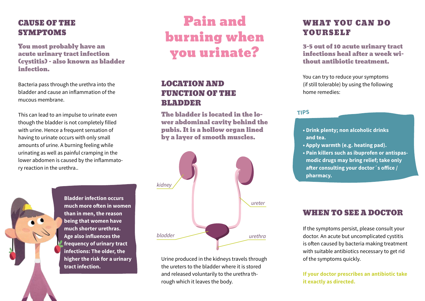## CAUSE OF THE SYMPTOMS

You most probably have an acute urinary tract infection (cystitis) – also known as bladder infection.

Bacteria pass through the urethra into the bladder and cause an inflammation of the mucous membrane.

This can lead to an impulse to urinate even though the bladder is not completely filled with urine. Hence a frequent sensation of having to urinate occurs with only small amounts of urine. A burning feeling while urinating as well as painful cramping in the lower abdomen is caused by the inflammatory reaction in the urethra..

# Pain and burning when you urinate?

## LOCATION AND FUNCTION OF THE BLADDER

The bladder is located in the lower abdominal cavity behind the pubis. It is a hollow organ lined by a layer of smooth muscles.



Urine produced in the kidneys travels through the ureters to the bladder where it is stored and released voluntarily to the urethra through which it leaves the body.

# WHAT YOU CAN DO YOURSELF

3-5 out of 10 acute urinary tract infections heal after a week without antibiotic treatment.

You can try to reduce your symptoms (if still tolerable) by using the following home remedies:

#### **TIPS**

- **Drink plenty; non alcoholic drinks and tea.**
- **Apply warmth (e.g. heating pad).**
- **Pain killers such as ibuprofen or antispasmodic drugs may bring relief; take only after consulting your doctor´s office / pharmacy.**

### WHEN TO SEE A DOCTOR

If the symptoms persist, please consult your doctor. An acute but uncomplicated cystitis is often caused by bacteria making treatment with suitable antibiotics necessary to get rid of the symptoms quickly.

**If your doctor prescribes an antibiotic take it exactly as directed.**

**Bladder infection occurs much more often in women than in men, the reason being that women have much shorter urethras. Age also influences the frequency of urinary tract infections: The older, the higher the risk for a urinary tract infection.**